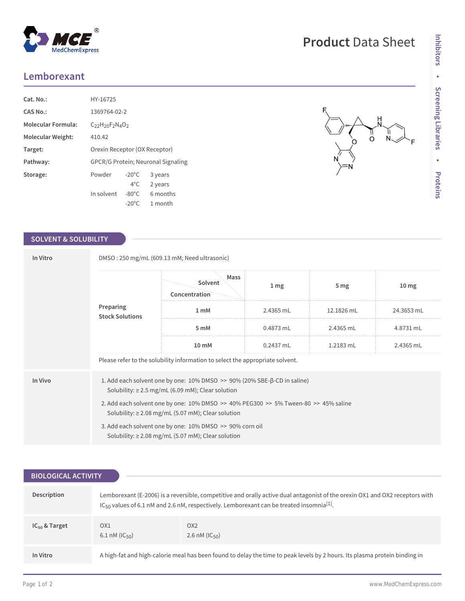## **Lemborexant**

| Cat. No.:                 | HY-16725                                  |                 |          |  |
|---------------------------|-------------------------------------------|-----------------|----------|--|
| CAS No.:                  | 1369764-02-2                              |                 |          |  |
| <b>Molecular Formula:</b> | $C_{22}H_{20}F_{2}N_{4}O_{2}$             |                 |          |  |
| Molecular Weight:         | 410.42                                    |                 |          |  |
| Target:                   | Orexin Receptor (OX Receptor)             |                 |          |  |
| Pathway:                  | <b>GPCR/G Protein: Neuronal Signaling</b> |                 |          |  |
| Storage:                  | Powder                                    | $-20^{\circ}$ C | 3 years  |  |
|                           |                                           | $4^{\circ}$ C   | 2 years  |  |
|                           | In solvent                                | $-80^{\circ}$ C | 6 months |  |
|                           |                                           | $-20^{\circ}$ C | 1 month  |  |

 $^{\circledR}$ 

### **SOLVENT & SOLUBILITY**

| In Vitro                            | DMSO: 250 mg/mL (609.13 mM; Need ultrasonic)                                                                                                                  |                                  |                 |                 |                  |  |  |
|-------------------------------------|---------------------------------------------------------------------------------------------------------------------------------------------------------------|----------------------------------|-----------------|-----------------|------------------|--|--|
| Preparing<br><b>Stock Solutions</b> |                                                                                                                                                               | Mass<br>Solvent<br>Concentration | 1 <sub>mg</sub> | 5 <sub>mg</sub> | 10 <sub>mg</sub> |  |  |
|                                     |                                                                                                                                                               | 1 mM                             | 2.4365 mL       | 12.1826 mL      | 24.3653 mL       |  |  |
|                                     | 5 mM                                                                                                                                                          | $0.4873$ mL                      | 2.4365 mL       | 4.8731 mL       |                  |  |  |
|                                     |                                                                                                                                                               | 10 mM                            | $0.2437$ mL     | 1.2183 mL       | 2.4365 mL        |  |  |
|                                     | Please refer to the solubility information to select the appropriate solvent.                                                                                 |                                  |                 |                 |                  |  |  |
| In Vivo                             | 1. Add each solvent one by one: $10\%$ DMSO $\geq$ 90% (20% SBE- $\beta$ -CD in saline)<br>Solubility: $\geq$ 2.5 mg/mL (6.09 mM); Clear solution             |                                  |                 |                 |                  |  |  |
|                                     | 2. Add each solvent one by one: $10\%$ DMSO $\geq$ 40% PEG300 $\geq$ 5% Tween-80 $\geq$ 45% saline<br>Solubility: $\geq$ 2.08 mg/mL (5.07 mM); Clear solution |                                  |                 |                 |                  |  |  |
|                                     | 3. Add each solvent one by one: 10% DMSO >> 90% corn oil<br>Solubility: $\geq$ 2.08 mg/mL (5.07 mM); Clear solution                                           |                                  |                 |                 |                  |  |  |

| <b>BIOLOGICAL ACTIVITY</b> |                                                                                                                                                                                                                                                  |                                                                                                                            |  |  |
|----------------------------|--------------------------------------------------------------------------------------------------------------------------------------------------------------------------------------------------------------------------------------------------|----------------------------------------------------------------------------------------------------------------------------|--|--|
| Description                | Lemborexant (E-2006) is a reversible, competitive and orally active dual antagonist of the orexin OX1 and OX2 receptors with<br>IC <sub>50</sub> values of 6.1 nM and 2.6 nM, respectively. Lemborexant can be treated insomnia <sup>[1]</sup> . |                                                                                                                            |  |  |
| $IC_{50}$ & Target         | OX <sub>1</sub><br>6.1 nM ( $IC_{50}$ )                                                                                                                                                                                                          | OX <sub>2</sub><br>2.6 nM ( $IC_{50}$ )                                                                                    |  |  |
| In Vitro                   |                                                                                                                                                                                                                                                  | A high-fat and high-calorie meal has been found to delay the time to peak levels by 2 hours. Its plasma protein binding in |  |  |

MedChemExpress

# **Product** Data Sheet

 $\frac{1}{\alpha}$ 

ó

 $N$